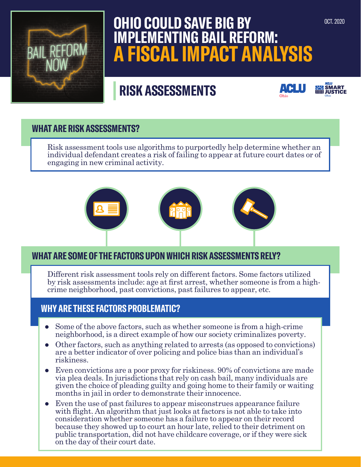

# **OHIO COULD SAVE BIG BY IMPLEMENTING BAIL REFORM: A FISCAL IMPACT ANALYSIS**

# **| RISK ASSESSMENTS**





## **WHAT ARE RISK ASSESSMENTS?**

Risk assessment tools use algorithms to purportedly help determine whether an individual defendant creates a risk of failing to appear at future court dates or of engaging in new criminal activity.



# **WHAT ARE SOME OF THE FACTORS UPON WHICH RISK ASSESSMENTS RELY?**

Different risk assessment tools rely on different factors. Some factors utilized by risk assessments include: age at first arrest, whether someone is from a highcrime neighborhood, past convictions, past failures to appear, etc.

## **WHY ARE THESE FACTORS PROBLEMATIC?**

- $\bullet$  Some of the above factors, such as whether someone is from a high-crime neighborhood, is a direct example of how our society criminalizes poverty.
- Other factors, such as anything related to arrests (as opposed to convictions) are a better indicator of over policing and police bias than an individual's riskiness.
- Even convictions are a poor proxy for riskiness. 90% of convictions are made via plea deals. In jurisdictions that rely on cash bail, many individuals are given the choice of pleading guilty and going home to their family or waiting months in jail in order to demonstrate their innocence.
- Even the use of past failures to appear misconstrues appearance failure with flight. An algorithm that just looks at factors is not able to take into consideration whether someone has a failure to appear on their record because they showed up to court an hour late, relied to their detriment on public transportation, did not have childcare coverage, or if they were sick on the day of their court date.